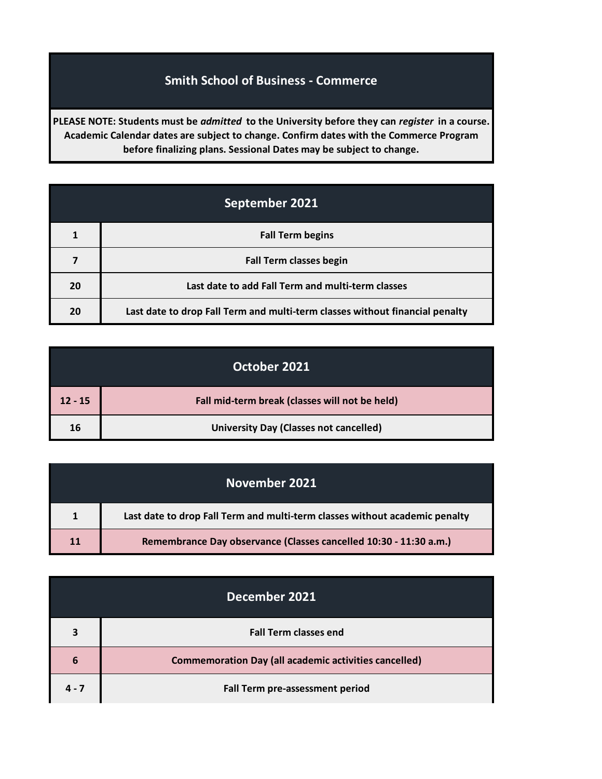## **Smith School of Business - Commerce**

**PLEASE NOTE: Students must be** *admitted* **to the University before they can** *register* **in a course. Academic Calendar dates are subject to change. Confirm dates with the Commerce Program before finalizing plans. Sessional Dates may be subject to change.**

| September 2021 |                                                                              |
|----------------|------------------------------------------------------------------------------|
|                | <b>Fall Term begins</b>                                                      |
| 7              | <b>Fall Term classes begin</b>                                               |
| 20             | Last date to add Fall Term and multi-term classes                            |
| 20             | Last date to drop Fall Term and multi-term classes without financial penalty |

|           | October 2021                                   |
|-----------|------------------------------------------------|
| $12 - 15$ | Fall mid-term break (classes will not be held) |
| 16        | <b>University Day (Classes not cancelled)</b>  |

|    | November 2021                                                               |
|----|-----------------------------------------------------------------------------|
|    | Last date to drop Fall Term and multi-term classes without academic penalty |
| 11 | Remembrance Day observance (Classes cancelled 10:30 - 11:30 a.m.)           |

|         | December 2021                                                |
|---------|--------------------------------------------------------------|
| 3       | <b>Fall Term classes end</b>                                 |
| 6       | <b>Commemoration Day (all academic activities cancelled)</b> |
| $4 - 7$ | Fall Term pre-assessment period                              |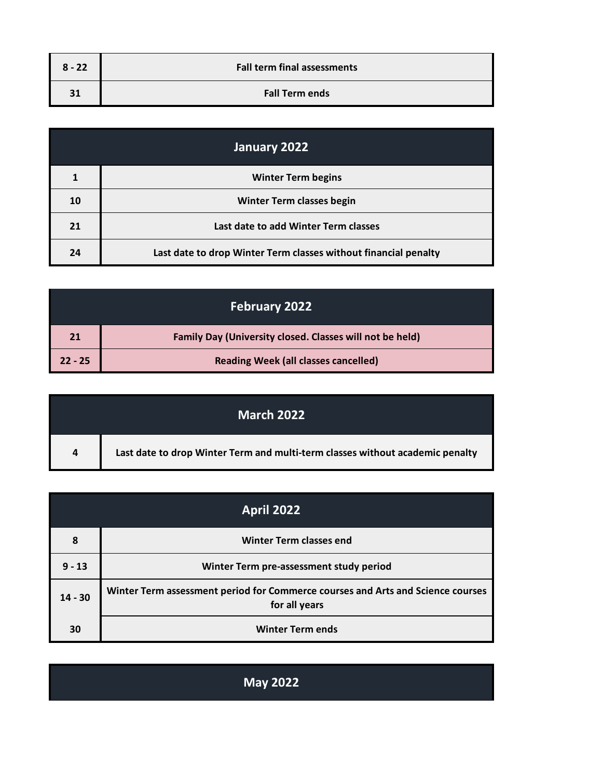| $8 - 22$ | <b>Fall term final assessments</b> |
|----------|------------------------------------|
| 31       | <b>Fall Term ends</b>              |

| January 2022 |                                                                 |
|--------------|-----------------------------------------------------------------|
| 1            | <b>Winter Term begins</b>                                       |
| 10           | <b>Winter Term classes begin</b>                                |
| 21           | Last date to add Winter Term classes                            |
| 24           | Last date to drop Winter Term classes without financial penalty |

| February 2022 |                                                          |
|---------------|----------------------------------------------------------|
| 21            | Family Day (University closed. Classes will not be held) |
| $22 - 25$     | <b>Reading Week (all classes cancelled)</b>              |

|                | <b>March 2022</b>                                                             |
|----------------|-------------------------------------------------------------------------------|
| $\overline{4}$ | Last date to drop Winter Term and multi-term classes without academic penalty |

| <b>April 2022</b> |                                                                                                  |
|-------------------|--------------------------------------------------------------------------------------------------|
| 8                 | <b>Winter Term classes end</b>                                                                   |
| $9 - 13$          | Winter Term pre-assessment study period                                                          |
| $14 - 30$         | Winter Term assessment period for Commerce courses and Arts and Science courses<br>for all years |
| 30                | <b>Winter Term ends</b>                                                                          |

| <b>May 2022</b> |
|-----------------|
|                 |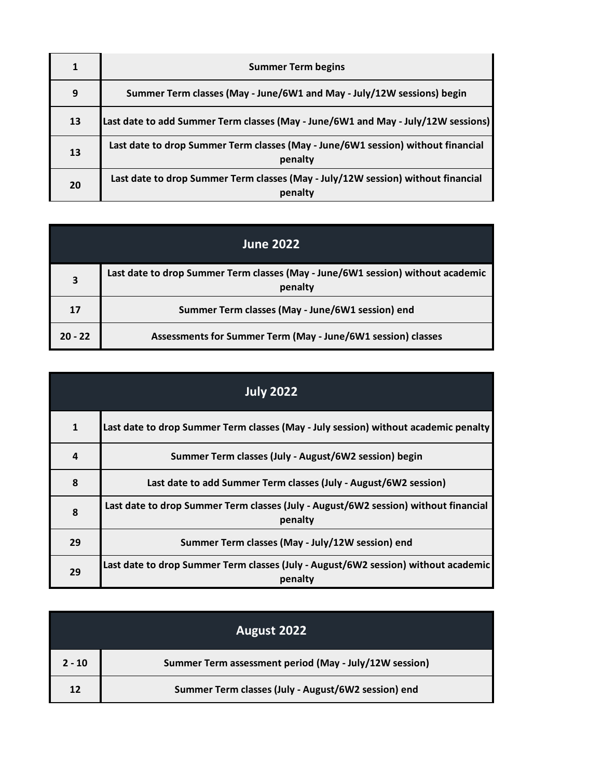|    | <b>Summer Term begins</b>                                                                   |
|----|---------------------------------------------------------------------------------------------|
| 9  | Summer Term classes (May - June/6W1 and May - July/12W sessions) begin                      |
| 13 | Last date to add Summer Term classes (May - June/6W1 and May - July/12W sessions)           |
| 13 | Last date to drop Summer Term classes (May - June/6W1 session) without financial<br>penalty |
| 20 | Last date to drop Summer Term classes (May - July/12W session) without financial<br>penalty |

 $\sim$ 

| <b>June 2022</b> |                                                                                            |
|------------------|--------------------------------------------------------------------------------------------|
| 3                | Last date to drop Summer Term classes (May - June/6W1 session) without academic<br>penalty |
| 17               | Summer Term classes (May - June/6W1 session) end                                           |
| $20 - 22$        | Assessments for Summer Term (May - June/6W1 session) classes                               |

| <b>July 2022</b> |                                                                                                |
|------------------|------------------------------------------------------------------------------------------------|
| $\mathbf{1}$     | Last date to drop Summer Term classes (May - July session) without academic penalty            |
| $\boldsymbol{4}$ | Summer Term classes (July - August/6W2 session) begin                                          |
| 8                | Last date to add Summer Term classes (July - August/6W2 session)                               |
| 8                | Last date to drop Summer Term classes (July - August/6W2 session) without financial<br>penalty |
| 29               | Summer Term classes (May - July/12W session) end                                               |
| 29               | Last date to drop Summer Term classes (July - August/6W2 session) without academic<br>penalty  |

|          | August 2022                                            |
|----------|--------------------------------------------------------|
| $2 - 10$ | Summer Term assessment period (May - July/12W session) |
| 12       | Summer Term classes (July - August/6W2 session) end    |